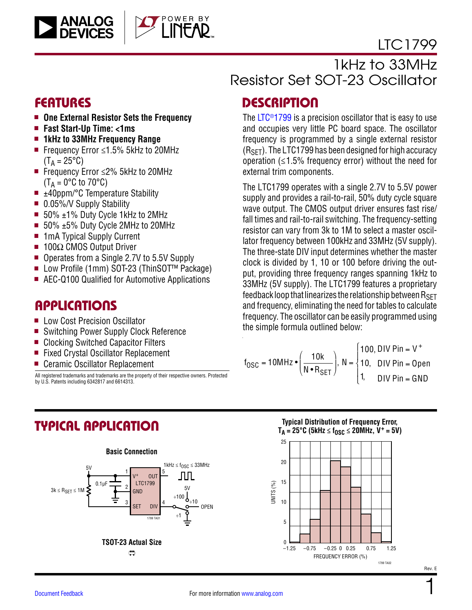



# 1kHz to 33MHz Resistor Set SOT-23 Oscillator

- One External Resistor Sets the Frequency
- <sup>n</sup> **Fast Start-Up Time: <1ms**
- 1kHz to 33MHz Frequency Range
- Frequency Error ≤1.5% 5kHz to 20MHz  $(T_A = 25^{\circ}C)$
- Frequency Error ≤2% 5kHz to 20MHz  $(T_A = 0$ °C to 70°C)
- $\blacksquare$   $\pm$ 40ppm/°C Temperature Stability
- $\blacksquare$  0.05%/V Supply Stability
- $\blacksquare$  50%  $\pm$ 1% Duty Cycle 1kHz to 2MHz
- 50% ±5% Duty Cycle 2MHz to 20MHz
- 1mA Typical Supply Current
- $\blacksquare$  100Ω CMOS Output Driver
- Operates from a Single 2.7V to 5.5V Supply
- Low Profile (1mm) SOT-23 (ThinSOT<sup>™</sup> Package)
- AEC-Q100 Qualified for Automotive Applications

### **APPLICATIONS**

- Low Cost Precision Oscillator
- Switching Power Supply Clock Reference
- Clocking Switched Capacitor Filters
- Fixed Crystal Oscillator Replacement
- Ceramic Oscillator Replacement

All registered trademarks and trademarks are the property of their respective owners. Protected by U.S. Patents including 6342817 and 6614313.

# FEATURES DESCRIPTION

The LTC<sup>®</sup>1799 is a precision oscillator that is easy to use and occupies very little PC board space. The oscillator frequency is programmed by a single external resistor  $(R<sub>SFT</sub>)$ . The LTC1799 has been designed for high accuracy operation  $(≤1.5%$  frequency error) without the need for external trim components.

The LTC1799 operates with a single 2.7V to 5.5V power supply and provides a rail-to-rail, 50% duty cycle square wave output. The CMOS output driver ensures fast rise/ fall times and rail-to-rail switching. The frequency-setting resistor can vary from 3k to 1M to select a master oscillator frequency between 100kHz and 33MHz (5V supply). The three-state DIV input determines whether the master clock is divided by 1, 10 or 100 before driving the output, providing three frequency ranges spanning 1kHz to 33MHz (5V supply). The LTC1799 features a proprietary feedback loop that linearizes the relationship between  $R_{\text{SFT}}$ and frequency, eliminating the need for tables to calculate frequency. The oscillator can be easily programmed using the simple formula outlined below:

$$
f_{\text{OSC}} = 10 \text{MHz} \cdot \left(\frac{10 \text{k}}{\text{N} \cdot \text{R}_{\text{SET}}}\right), N = \begin{cases} 100, \text{DIV Pin} = \text{V}^+ \\ 10, \quad \text{DIV Pin} = \text{Open} \\ 1, \quad \text{DIV Pin} = \text{GND} \end{cases}
$$

# TYPICAL APPLICATION



### **Typical Distribution of Frequency Error,**   $T_A = 25^{\circ}C$  (5kHz  $\leq f_{OSC} \leq 20$ MHz, V<sup>+</sup> = 5V)

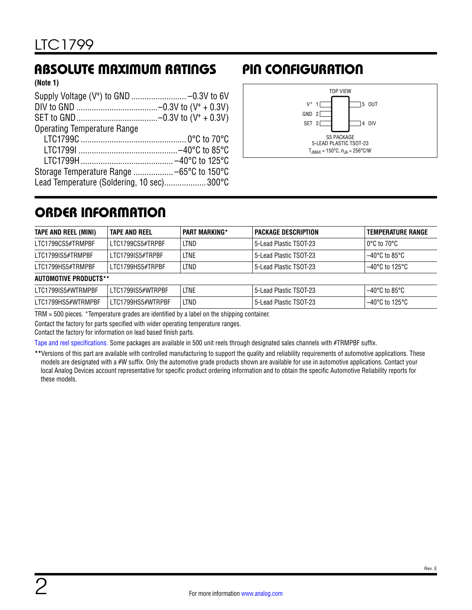### ABSOLUTE MAXIMUM RATINGS PIN CONFIGURATION

**(Note 1)**

| <b>Operating Temperature Range</b>        |  |
|-------------------------------------------|--|
|                                           |  |
|                                           |  |
|                                           |  |
|                                           |  |
| Lead Temperature (Soldering, 10 sec)300°C |  |



# ORDER INFORMATION

| TAPE AND REEL (MINI)         | TAPE AND REEL     | <b>PART MARKING*</b> | <b>PACKAGE DESCRIPTION</b> | <b>TEMPERATURE RANGE</b> |
|------------------------------|-------------------|----------------------|----------------------------|--------------------------|
| LTC1799CS5#TRMPBF            | LTC1799CS5#TRPBF  | LTND                 | 5-Lead Plastic TSOT-23     | $0^{\circ}$ C to 70°C    |
| LTC1799IS5#TRMPBF            | LTC1799IS5#TRPBF  | <b>LTNE</b>          | 5-Lead Plastic TSOT-23     | $-40^{\circ}$ C to 85°C  |
| LTC1799HS5#TRMPBF            | LTC1799HS5#TRPBF  | LTND                 | 5-Lead Plastic TSOT-23     | $-40^{\circ}$ C to 125°C |
| <b>AUTOMOTIVE PRODUCTS**</b> |                   |                      |                            |                          |
| LTC1799IS5#WTRMPBF           | LTC1799IS5#WTRPBF | <b>LTNE</b>          | 5-Lead Plastic TSOT-23     | $-40^{\circ}$ C to 85°C  |
| LTC1799HS5#WTRMPBF           | LTC1799HS5#WTRPBF | LTND                 | 5-Lead Plastic TSOT-23     | $-40^{\circ}$ C to 125°C |

TRM = 500 pieces. \*Temperature grades are identified by a label on the shipping container.

Contact the factory for parts specified with wider operating temperature ranges.

Contact the factory for information on lead based finish parts.

[Tape and reel specifications](https://www.analog.com/media/en/package-pcb-resources/package/tape-reel-rev-n.pdf?doc=LTC1799.pdf). Some packages are available in 500 unit reels through designated sales channels with #TRMPBF suffix.

**\*\***Versions of this part are available with controlled manufacturing to support the quality and reliability requirements of automotive applications. These models are designated with a #W suffix. Only the automotive grade products shown are available for use in automotive applications. Contact your local Analog Devices account representative for specific product ordering information and to obtain the specific Automotive Reliability reports for these models.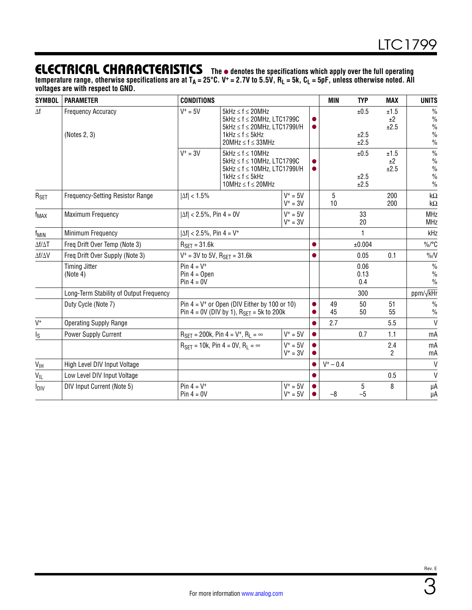### **ELECTRICAL CHARACTERISTICS** The  $\bullet$  denotes the specifications which apply over the full operating

temperature range, otherwise specifications are at T<sub>A</sub> = 25°C. V<sup>+</sup> = 2.7V to 5.5V, R<sub>L</sub> = 5k, C<sub>L</sub> = 5pF, unless otherwise noted. All **voltages are with respect to GND.**

| <b>SYMBOL</b>                                                                       | <b>PARAMETER</b>                                                                                                                                                                      | <b>CONDITIONS</b>                                                                                                                                                                        |                                                                   |                          | MIN                  | <b>TYP</b>           | <b>MAX</b>                                                               | <b>UNITS</b>                                                             |                          |
|-------------------------------------------------------------------------------------|---------------------------------------------------------------------------------------------------------------------------------------------------------------------------------------|------------------------------------------------------------------------------------------------------------------------------------------------------------------------------------------|-------------------------------------------------------------------|--------------------------|----------------------|----------------------|--------------------------------------------------------------------------|--------------------------------------------------------------------------|--------------------------|
| $\Delta f$                                                                          | <b>Frequency Accuracy</b><br>(Notes 2, 3)                                                                                                                                             | $V^+ = 5V$<br>$5$ kHz $\leq$ f $\leq$ 20MHz<br>$5kHz \le f \le 20MHz$ , LTC1799C<br>$5$ kHz $\leq$ f $\leq$ 20MHz, LTC1799I/H<br>$1$ kHz $\leq$ f $\leq$ 5kHz<br>$20MHz \le f \le 33MHz$ |                                                                   |                          |                      | ±0.5<br>±2.5<br>±2.5 | ±1.5<br>±2<br>±2.5                                                       | $\frac{0}{0}$<br>$\frac{0}{0}$<br>$\frac{0}{0}$<br>$\%$<br>$\frac{0}{0}$ |                          |
|                                                                                     | $V^+ = 3V$<br>$5kHz \le f \le 10MHz$<br>$5kHz \le f \le 10MHz$ , LTC1799C<br>$5$ kHz $\leq$ f $\leq$ 10MHz, LTC1799I/H<br>$1$ kHz $\leq$ f $\leq$ 5kHz<br>10MHz $\leq$ f $\leq$ 20MHz |                                                                                                                                                                                          |                                                                   |                          | ±0.5<br>±2.5<br>±2.5 | ±1.5<br>±2<br>±2.5   | $\%$<br>$\frac{0}{0}$<br>$\frac{0}{0}$<br>$\frac{0}{0}$<br>$\frac{0}{0}$ |                                                                          |                          |
| $R_{\sf SET}$                                                                       | Frequency-Setting Resistor Range                                                                                                                                                      | $ \Delta f  < 1.5\%$                                                                                                                                                                     |                                                                   | $V^+ = 5V$<br>$V^+ = 3V$ |                      | 5<br>10              |                                                                          | 200<br>200                                                               | $k\Omega$<br>k $\Omega$  |
| f <sub>MAX</sub>                                                                    | Maximum Frequency                                                                                                                                                                     | $ \Delta f $ < 2.5%, Pin 4 = 0V                                                                                                                                                          |                                                                   | $V^+ = 5V$<br>$V^+ = 3V$ |                      |                      | 33<br>20                                                                 |                                                                          | <b>MHz</b><br><b>MHz</b> |
| f <sub>MIN</sub>                                                                    | Minimum Frequency                                                                                                                                                                     | $ \Delta f $ < 2.5%, Pin 4 = V <sup>+</sup>                                                                                                                                              |                                                                   |                          |                      |                      | $\mathbf{1}$                                                             |                                                                          | kHz                      |
| $\Delta f/\Delta T$                                                                 | Freq Drift Over Temp (Note 3)                                                                                                                                                         | $R_{\text{SET}} = 31.6k$                                                                                                                                                                 |                                                                   |                          |                      | ±0.004               |                                                                          | $\%$ /°C                                                                 |                          |
| $\Delta f/\Delta V$                                                                 | Freq Drift Over Supply (Note 3)                                                                                                                                                       | $V^+$ = 3V to 5V, R <sub>SFT</sub> = 31.6k                                                                                                                                               |                                                                   |                          | 0.05                 | 0.1                  | $\frac{9}{6}$                                                            |                                                                          |                          |
| Pin $4 = V^+$<br><b>Timing Jitter</b><br>$Pin 4 = Open$<br>(Note 4)<br>Pin $4 = 0V$ |                                                                                                                                                                                       |                                                                                                                                                                                          |                                                                   |                          |                      | 0.06<br>0.13<br>0.4  |                                                                          | $\frac{0}{0}$<br>$\frac{0}{0}$<br>$\frac{0}{0}$                          |                          |
|                                                                                     | Long-Term Stability of Output Frequency                                                                                                                                               |                                                                                                                                                                                          |                                                                   |                          |                      |                      | 300                                                                      |                                                                          | ppm/√kHr                 |
|                                                                                     | Duty Cycle (Note 7)                                                                                                                                                                   | Pin $4 = V^+$ or Open (DIV Either by 100 or 10)<br>Pin 4 = 0V (DIV by 1), $R_{\text{SET}}$ = 5k to 200k                                                                                  |                                                                   | 49<br>45                 | 50<br>50             | 51<br>55             | $\frac{0}{0}$<br>$\frac{0}{0}$                                           |                                                                          |                          |
| $V^+$                                                                               | <b>Operating Supply Range</b>                                                                                                                                                         |                                                                                                                                                                                          |                                                                   |                          | 2.7                  |                      | 5.5                                                                      | $\mathsf{V}$                                                             |                          |
| $I_{\rm S}$                                                                         | Power Supply Current                                                                                                                                                                  |                                                                                                                                                                                          | $R_{\text{SFT}} = 200k$ , Pin 4 = V <sup>+</sup> , $R_1 = \infty$ | $V^+ = 5V$               |                      |                      | 0.7                                                                      | 1.1                                                                      | mA                       |
|                                                                                     |                                                                                                                                                                                       |                                                                                                                                                                                          | $R_{\text{SFT}} = 10k$ , Pin 4 = 0V, $R_1 = \infty$               | $V^+ = 5V$<br>$V^+ = 3V$ |                      |                      |                                                                          | 2.4<br>2                                                                 | mA<br>mA                 |
| $V_{\text{IH}}$                                                                     | High Level DIV Input Voltage                                                                                                                                                          |                                                                                                                                                                                          |                                                                   |                          |                      | $V^+ - 0.4$          |                                                                          |                                                                          | V                        |
| $V_{\parallel L}$                                                                   | Low Level DIV Input Voltage                                                                                                                                                           |                                                                                                                                                                                          |                                                                   |                          |                      |                      |                                                                          | 0.5                                                                      | V                        |
| $I_{\text{DIV}}$                                                                    | DIV Input Current (Note 5)                                                                                                                                                            | Pin $4 = V^+$<br>Pin $4 = 0V$                                                                                                                                                            |                                                                   | $V^+ = 5V$<br>$V^+ = 5V$ |                      | $-8$                 | 5<br>$-5$                                                                | 8                                                                        | μA<br>μA                 |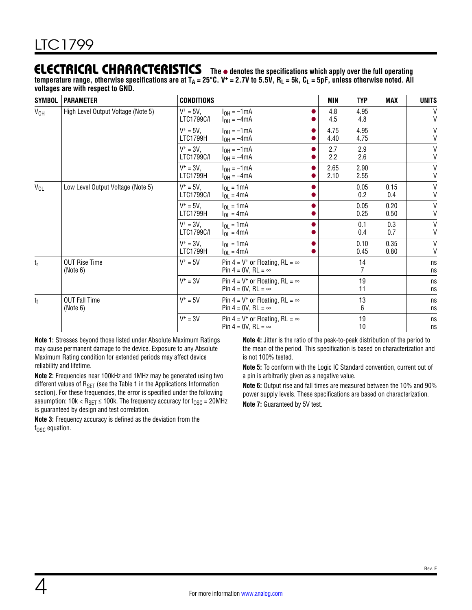### **ELECTRICAL CHARACTERISTICS** The  $\bullet$  denotes the specifications which apply over the full operating

temperature range, otherwise specifications are at T<sub>A</sub> = 25°C. V<sup>+</sup> = 2.7V to 5.5V, R<sub>L</sub> = 5k, C<sub>L</sub> = 5pF, unless otherwise noted. All **voltages are with respect to GND.**

| <b>SYMBOL</b>   | <b>PARAMETER</b>                   | <b>CONDITIONS</b>          |                                                                          | MIN          | <b>TYP</b>   | <b>MAX</b>   | <b>UNITS</b>                 |
|-----------------|------------------------------------|----------------------------|--------------------------------------------------------------------------|--------------|--------------|--------------|------------------------------|
| V <sub>OH</sub> | High Level Output Voltage (Note 5) | $V^+ = 5V$ ,<br>LTC1799C/I | $I_{OH} = -1mA$<br>$I_{OH} = -4mA$                                       | 4.8<br>4.5   | 4.95<br>4.8  |              | $\vee$<br>$\mathsf{V}$       |
|                 |                                    | $V^+ = 5V$ ,<br>LTC1799H   | $IOH = -1mA$<br>$I_{OH} = -4mA$                                          | 4.75<br>4.40 | 4.95<br>4.75 |              | $\mathsf{V}$<br>$\mathsf{V}$ |
|                 |                                    | $V^+ = 3V$ .<br>LTC1799C/I | $I_{OH} = -1mA$<br>$I_{OH} = -4mA$                                       | 2.7<br>2.2   | 2.9<br>2.6   |              | $\sf V$<br>$\mathsf{V}$      |
|                 |                                    | $V^+ = 3V$ .<br>LTC1799H   | $I_{OH} = -1mA$<br>$I_{OH} = -4mA$                                       | 2.65<br>2.10 | 2.90<br>2.55 |              | $\mathsf{V}$<br>$\mathsf{V}$ |
| $V_{OL}$        | Low Level Output Voltage (Note 5)  | $V^+ = 5V$ ,<br>LTC1799C/I | $I_{OL} = 1mA$<br>$I_{OL} = 4mA$                                         |              | 0.05<br>0.2  | 0.15<br>0.4  | $\sf V$<br>$\sf V$           |
|                 |                                    | $V^+ = 5V$ ,<br>LTC1799H   | $I_{OL} = 1mA$<br>$I_{OL} = 4mA$                                         |              | 0.05<br>0.25 | 0.20<br>0.50 | V<br>$\mathsf{V}$            |
|                 |                                    | $V^+ = 3V$ ,<br>LTC1799C/I | $I_{OL} = 1mA$<br>$I_{OL} = 4mA$                                         |              | 0.1<br>0.4   | 0.3<br>0.7   | $\mathsf{V}$<br>$\mathsf{V}$ |
|                 |                                    | $V^+ = 3V$ .<br>LTC1799H   | $I_{OL} = 1mA$<br>$I_{OL} = 4mA$                                         |              | 0.10<br>0.45 | 0.35<br>0.80 | $\mathsf{V}$<br>V            |
| $t_r$           | <b>OUT Rise Time</b><br>(Note 6)   | $V^+ = 5V$                 | Pin 4 = $V^+$ or Floating, RL = $\infty$<br>Pin $4 = 0V$ , RL = $\infty$ |              | 14           |              | ns<br>ns                     |
|                 |                                    | $V^+ = 3V$                 | Pin 4 = $V^+$ or Floating, RL = $\infty$<br>Pin 4 = 0V, RL = $\infty$    |              | 19<br>11     |              | ns<br>ns                     |
| t <sub>f</sub>  | <b>OUT Fall Time</b><br>(Note 6)   | $V^+ = 5V$                 | Pin 4 = $V^+$ or Floating, RL = $\infty$<br>Pin 4 = 0V, RL = $\infty$    |              | 13<br>6      |              | ns<br>ns                     |
|                 |                                    | $V^+ = 3V$                 | Pin 4 = $V^+$ or Floating, RL = $\infty$<br>Pin 4 = 0V, RL = $\infty$    |              | 19<br>10     |              | ns<br>ns                     |

**Note 1:** Stresses beyond those listed under Absolute Maximum Ratings may cause permanent damage to the device. Exposure to any Absolute Maximum Rating condition for extended periods may affect device reliability and lifetime.

**Note 2:** Frequencies near 100kHz and 1MHz may be generated using two different values of  $R_{\text{SET}}$  (see the Table 1 in the Applications Information section). For these frequencies, the error is specified under the following assumption: 10k <  $R_{\text{SET}} \le 100$ k. The frequency accuracy for  $f_{\text{OSC}} = 20$ MHz is guaranteed by design and test correlation.

**Note 3:** Frequency accuracy is defined as the deviation from the  $f<sub>OSC</sub>$  equation.

**Note 4:** Jitter is the ratio of the peak-to-peak distribution of the period to the mean of the period. This specification is based on characterization and is not 100% tested.

**Note 5:** To conform with the Logic IC Standard convention, current out of a pin is arbitrarily given as a negative value.

**Note 6:** Output rise and fall times are measured between the 10% and 90% power supply levels. These specifications are based on characterization. **Note 7:** Guaranteed by 5V test.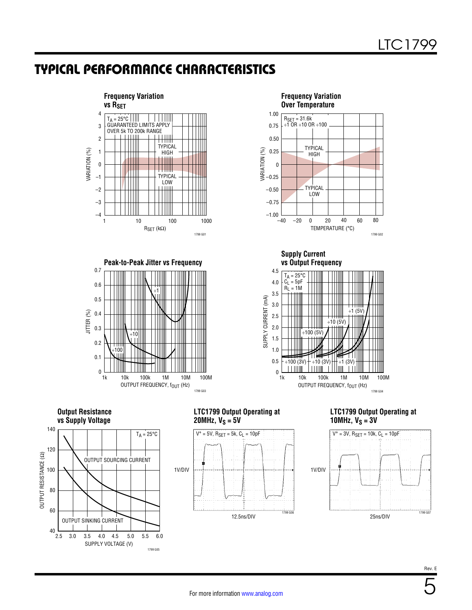### TYPICAL PERFORMANCE CHARACTERISTICS







**Frequency Variation** 

**Supply Current vs Output Frequency**



**Output Resistance vs Supply Voltage**



#### **LTC1799 Output Operating at 20MHz,**  $V_S = 5V$



#### **LTC1799 Output Operating at 10MHz,**  $V_S = 3V$

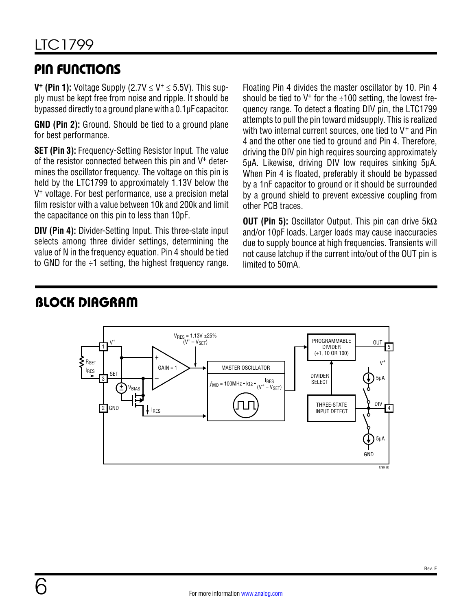### PIN FUNCTIONS

**V<sup>+</sup>** (Pin 1): Voltage Supply (2.7V  $\leq$  V<sup>+</sup>  $\leq$  5.5V). This supply must be kept free from noise and ripple. It should be bypassed directly to a ground plane with a 0.1µF capacitor.

**GND (Pin 2):** Ground. Should be tied to a ground plane for best performance.

**SET (Pin 3):** Frequency-Setting Resistor Input. The value of the resistor connected between this pin and V+ determines the oscillator frequency. The voltage on this pin is held by the LTC1799 to approximately 1.13V below the V+ voltage. For best performance, use a precision metal film resistor with a value between 10k and 200k and limit the capacitance on this pin to less than 10pF.

**DIV (Pin 4):** Divider-Setting Input. This three-state input selects among three divider settings, determining the value of N in the frequency equation. Pin 4 should be tied to GND for the  $\div 1$  setting, the highest frequency range. Floating Pin 4 divides the master oscillator by 10. Pin 4 should be tied to  $V^+$  for the  $\div$ 100 setting, the lowest frequency range. To detect a floating DIV pin, the LTC1799 attempts to pull the pin toward midsupply. This is realized with two internal current sources, one tied to V<sup>+</sup> and Pin 4 and the other one tied to ground and Pin 4. Therefore, driving the DIV pin high requires sourcing approximately 5µA. Likewise, driving DIV low requires sinking 5µA. When Pin 4 is floated, preferably it should be bypassed by a 1nF capacitor to ground or it should be surrounded by a ground shield to prevent excessive coupling from other PCB traces.

**OUT (Pin 5):** Oscillator Output. This pin can drive 5kΩ and/or 10pF loads. Larger loads may cause inaccuracies due to supply bounce at high frequencies. Transients will not cause latchup if the current into/out of the OUT pin is limited to 50mA.



### BLOCK DIAGRAM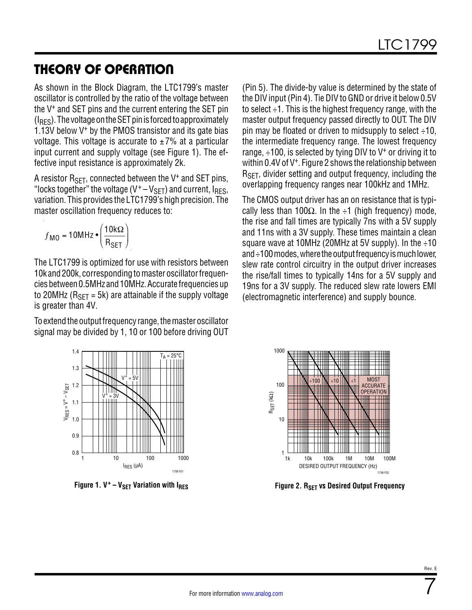### THEORY OF OPERATION

As shown in the Block Diagram, the LTC1799's master oscillator is controlled by the ratio of the voltage between the V+ and SET pins and the current entering the SET pin  $(I_{\text{BFS}})$ . The voltage on the SET pin is forced to approximately 1.13V below  $V^+$  by the PMOS transistor and its gate bias voltage. This voltage is accurate to  $\pm 7\%$  at a particular input current and supply voltage (see [Figure 1](#page-6-0)). The effective input resistance is approximately 2k.

A resistor  $R_{\text{SET}}$ , connected between the V<sup>+</sup> and SET pins, "locks together" the voltage ( $V^+ - V_{\text{SET}}$ ) and current,  $I_{\text{RES}}$ , variation. This provides the LTC1799's high precision. The master oscillation frequency reduces to:

$$
f_{\text{MO}} = 10 \text{MHz} \cdot \left(\frac{10 \text{k}\Omega}{\text{R}_{\text{SET}}}\right)
$$

The LTC1799 is optimized for use with resistors between 10k and 200k, corresponding to master oscillator frequencies between 0.5MHz and 10MHz. Accurate frequencies up to 20MHz ( $R_{SFT}$  = 5k) are attainable if the supply voltage is greater than 4V.

To extend the output frequency range, the master oscillator signal may be divided by 1, 10 or 100 before driving OUT (Pin 5). The divide-by value is determined by the state of the DIV input (Pin 4). Tie DIV to GND or drive it below 0.5V to select ÷1. This is the highest frequency range, with the master output frequency passed directly to OUT. The DIV pin may be floated or driven to midsupply to select  $\div 10$ , the intermediate frequency range. The lowest frequency range,  $\div$ 100, is selected by tying DIV to V<sup>+</sup> or driving it to within 0.4V of V<sup>+</sup>. [Figure 2](#page-6-1) shows the relationship between R<sub>SFT</sub>, divider setting and output frequency, including the overlapping frequency ranges near 100kHz and 1MHz.

The CMOS output driver has an on resistance that is typically less than 100 $\Omega$ . In the ÷1 (high frequency) mode, the rise and fall times are typically 7ns with a 5V supply and 11ns with a 3V supply. These times maintain a clean square wave at 10MHz (20MHz at 5V supply). In the  $\div$ 10 and ÷100 modes, where the output frequency is much lower, slew rate control circuitry in the output driver increases the rise/fall times to typically 14ns for a 5V supply and 19ns for a 3V supply. The reduced slew rate lowers EMI (electromagnetic interference) and supply bounce.



<span id="page-6-1"></span>

<span id="page-6-0"></span>Figure 1. V<sup>+</sup> – V<sub>SET</sub> Variation with I<sub>RES</sub> **Figure 2. R<sub>SET</sub> vs Desired Output Frequency**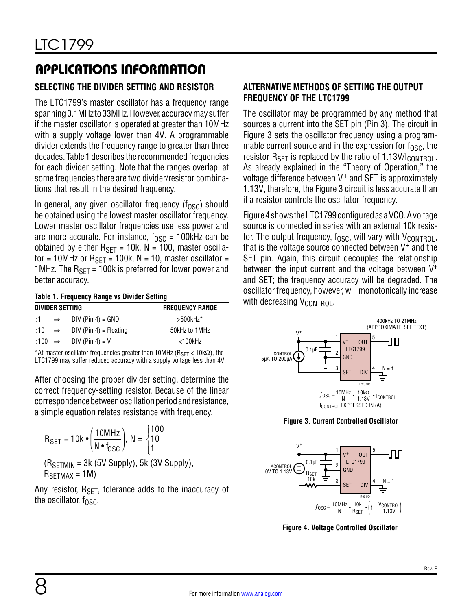### **SELECTING THE DIVIDER SETTING AND RESISTOR**

The LTC1799's master oscillator has a frequency range spanning 0.1MHz to 33MHz. However, accuracy may suffer if the master oscillator is operated at greater than 10MHz with a supply voltage lower than 4V. A programmable divider extends the frequency range to greater than three decades. Table 1 describes the recommended frequencies for each divider setting. Note that the ranges overlap; at some frequencies there are two divider/resistor combinations that result in the desired frequency.

In general, any given oscillator frequency  $(f<sub>OSC</sub>)$  should be obtained using the lowest master oscillator frequency. Lower master oscillator frequencies use less power and are more accurate. For instance,  $f_{\text{OSC}} = 100$ kHz can be obtained by either  $R_{\text{SET}} = 10k$ ,  $N = 100$ , master oscillator = 10MHz or  $R_{\text{SFT}}$  = 100k, N = 10, master oscillator = 1MHz. The  $R_{\text{SFT}}$  = 100k is preferred for lower power and better accuracy.

#### **Table 1. Frequency Range vs Divider Setting**

| DIVIDER SETTING |               |                                                     | <b>FREQUENCY RANGE</b> |  |  |  |  |  |
|-----------------|---------------|-----------------------------------------------------|------------------------|--|--|--|--|--|
| $+1$            | $\Rightarrow$ | $DIV (Pin 4) = GND$                                 | $>500$ kHz $*$         |  |  |  |  |  |
| $\div 10$       | $\Rightarrow$ | $DIV (Pin 4) = Floating$                            | 50kHz to 1MHz          |  |  |  |  |  |
|                 |               | $\div 100 \Rightarrow$ DIV (Pin 4) = V <sup>+</sup> | <100kHz                |  |  |  |  |  |
|                 |               |                                                     |                        |  |  |  |  |  |

\*At master oscillator frequencies greater than 10MHz ( $R_{\text{SET}}$  < 10k $\Omega$ ), the LTC1799 may suffer reduced accuracy with a supply voltage less than 4V.

After choosing the proper divider setting, determine the correct frequency-setting resistor. Because of the linear correspondence between oscillation period and resistance, a simple equation relates resistance with frequency.

$$
R_{\text{SET}} = 10k \cdot \left(\frac{10MHz}{N \cdot t_{\text{OSC}}}\right), N = \begin{cases} 100\\ 10\\ 1 \end{cases}
$$
  
(R\_{\text{SETMIN}} = 3k (5V Supply), 5k (3V Supply),  
R\_{\text{SETMAX}} = 1M)

Any resistor,  $R_{\text{SFT}}$ , tolerance adds to the inaccuracy of the oscillator,  $f_{\text{OSC}}$ .

### **ALTERNATIVE METHODS OF SETTING THE OUTPUT FREQUENCY OF THE LTC1799**

The oscillator may be programmed by any method that sources a current into the SET pin (Pin 3). The circuit in [Figure 3](#page-7-0) sets the oscillator frequency using a programmable current source and in the expression for  $f_{\text{QSC}}$ , the resistor  $R_{\text{SFT}}$  is replaced by the ratio of 1.13V/I<sub>CONTROL</sub>. As already explained in the "Theory of Operation," the voltage difference between V<sup>+</sup> and SET is approximately 1.13V, therefore, the [Figure 3](#page-7-0) circuit is less accurate than if a resistor controls the oscillator frequency.

[Figure 4](#page-7-1) shows the LTC1799 configured as a VCO. A voltage source is connected in series with an external 10k resistor. The output frequency,  $f_{\text{OSC}}$ , will vary with  $V_{\text{CONTROL}}$ , that is the voltage source connected between V+ and the SET pin. Again, this circuit decouples the relationship between the input current and the voltage between V<sup>+</sup> and SET; the frequency accuracy will be degraded. The oscillator frequency, however, will monotonically increase with decreasing  $V_{\text{CONTROL}}$ .



<span id="page-7-0"></span>**Figure 3. Current Controlled Oscillator**



<span id="page-7-1"></span>**Figure 4. Voltage Controlled Oscillator**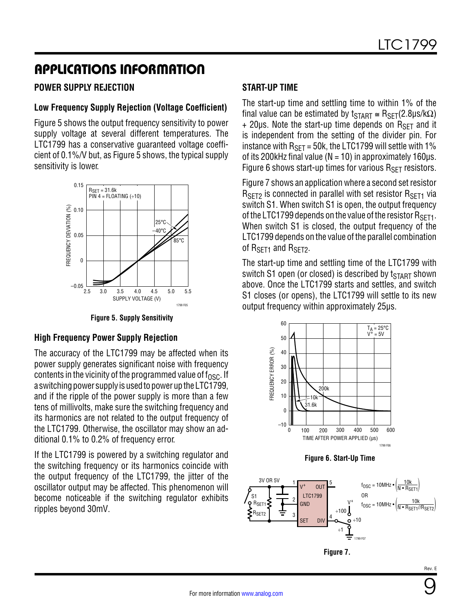### **POWER SUPPLY REJECTION**

### **Low Frequency Supply Rejection (Voltage Coefficient)**

[Figure 5](#page-8-0) shows the output frequency sensitivity to power supply voltage at several different temperatures. The LTC1799 has a conservative guaranteed voltage coefficient of 0.1%/V but, as [Figure 5](#page-8-0) shows, the typical supply sensitivity is lower.



**Figure 5. Supply Sensitivity**

#### **High Frequency Power Supply Rejection**

The accuracy of the LTC1799 may be affected when its power supply generates significant noise with frequency contents in the vicinity of the programmed value of  $f_{\rm OSC}$ . If a switching power supply is used to power up the LTC1799, and if the ripple of the power supply is more than a few tens of millivolts, make sure the switching frequency and its harmonics are not related to the output frequency of the LTC1799. Otherwise, the oscillator may show an additional 0.1% to 0.2% of frequency error.

If the LTC1799 is powered by a switching regulator and the switching frequency or its harmonics coincide with the output frequency of the LTC1799, the jitter of the oscillator output may be affected. This phenomenon will become noticeable if the switching regulator exhibits ripples beyond 30mV.

### **START-UP TIME**

The start-up time and settling time to within 1% of the final value can be estimated by  $t_{\text{START}} \cong R_{\text{SET}}(2.8\mu s/k\Omega)$  $+$  20µs. Note the start-up time depends on  $R_{\text{SFT}}$  and it is independent from the setting of the divider pin. For instance with  $R_{\text{SET}} = 50$ k, the LTC1799 will settle with 1% of its 200kHz final value ( $N = 10$ ) in approximately 160 $\mu$ s. [Figure 6](#page-8-1) shows start-up times for various  $R_{\text{SFT}}$  resistors.

[Figure 7](#page-8-2) shows an application where a second set resistor  $R_{\text{SFT2}}$  is connected in parallel with set resistor  $R_{\text{SFT1}}$  via switch S1. When switch S1 is open, the output frequency of the LTC1799 depends on the value of the resistor  $R_{\text{SET1}}$ . When switch S1 is closed, the output frequency of the LTC1799 depends on the value of the parallel combination of R<sub>SFT1</sub> and R<sub>SFT2</sub>.

The start-up time and settling time of the LTC1799 with switch S1 open (or closed) is described by  $t_{\text{START}}$  shown above. Once the LTC1799 starts and settles, and switch S1 closes (or opens), the LTC1799 will settle to its new output frequency within approximately 25µs.

<span id="page-8-0"></span>

<span id="page-8-1"></span>



<span id="page-8-2"></span>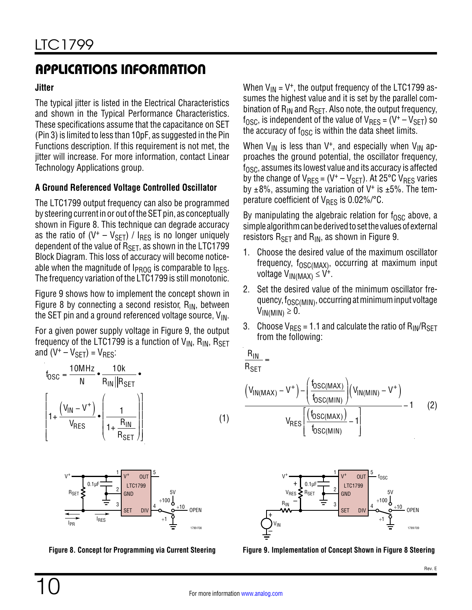### **Jitter**

The typical jitter is listed in the Electrical Characteristics and shown in the Typical Performance Characteristics. These specifications assume that the capacitance on SET (Pin 3) is limited to less than 10pF, as suggested in the Pin Functions description. If this requirement is not met, the jitter will increase. For more information, contact Linear Technology Applications group.

### **A Ground Referenced Voltage Controlled Oscillator**

The LTC1799 output frequency can also be programmed by steering current in or out of the SET pin, as conceptually shown in [Figure 8.](#page-9-0) This technique can degrade accuracy as the ratio of  $(V^+ - V_{\text{SET}})$  /  $I_{\text{RES}}$  is no longer uniquely dependent of the value of  $R_{\text{SFT}}$ , as shown in the LTC1799 Block Diagram. This loss of accuracy will become noticeable when the magnitude of  $I_{PROG}$  is comparable to  $I_{RES}$ . The frequency variation of the LTC1799 is still monotonic.

[Figure 9](#page-9-1) shows how to implement the concept shown in [Figure 8](#page-9-0) by connecting a second resistor,  $R_{IN}$ , between the SET pin and a ground referenced voltage source,  $V_{IN}$ .

For a given power supply voltage in [Figure 9,](#page-9-1) the output frequency of the LTC1799 is a function of  $V_{IN}$ ,  $R_{IN}$ ,  $R_{SET}$ and  $(V^+ - V_{\text{SFT}}) = V_{\text{RFS}}$ :

$$
t_{\text{OSC}} = \frac{10 \text{MHz}}{\text{N}} \cdot \frac{10 \text{k}}{\text{R}_{\text{IN}} || \text{R}_{\text{SET}}} \cdot \frac{10 \text{k}}{\text{R}_{\text{IN}} || \text{R}_{\text{SET}}} \cdot \frac{1}{\text{R}_{\text{IN}} || \text{R}_{\text{SET}}} \cdot \frac{1}{\text{R}_{\text{BET}}} \cdot \frac{1}{\text{R}_{\text{BET}}} \cdot \frac{1}{\text{R}_{\text{SET}}} \cdot \frac{1}{\text{R}_{\text{SET}}} \cdot \frac{1}{\text{R}_{\text{SET}}} \cdot \frac{1}{\text{R}_{\text{SET}}} \cdot \frac{1}{\text{R}_{\text{SET}}} \cdot \frac{1}{\text{R}_{\text{SET}}} \cdot \frac{1}{\text{R}_{\text{SET}}} \cdot \frac{1}{\text{R}_{\text{SET}}} \cdot \frac{1}{\text{R}_{\text{SET}}} \cdot \frac{1}{\text{R}_{\text{SET}}} \cdot \frac{1}{\text{R}_{\text{SET}}} \cdot \frac{1}{\text{R}_{\text{SET}}} \cdot \frac{1}{\text{R}_{\text{SET}}} \cdot \frac{1}{\text{R}_{\text{SET}}} \cdot \frac{1}{\text{R}_{\text{SET}}} \cdot \frac{1}{\text{R}_{\text{SET}}} \cdot \frac{1}{\text{R}_{\text{E}} \cdot \frac{1}{\text{R}_{\text{E}} \cdot \frac{1}{\text{R}_{\text{E}} \cdot \frac{1}{\text{R}_{\text{E}} \cdot \frac{1}{\text{R}_{\text{E}} \cdot \frac{1}{\text{R}_{\text{E}} \cdot \frac{1}{\text{R}_{\text{E}} \cdot \frac{1}{\text{R}_{\text{E}} \cdot \frac{1}{\text{R}_{\text{E}} \cdot \frac{1}{\text{R}_{\text{E}} \cdot \frac{1}{\text{R}_{\text{E}} \cdot \frac{1}{\text{R}_{\text{E}} \cdot \frac{1}{\text{R}_{\text{E}} \cdot \frac{1}{\text{R}_{\text{E}} \cdot \frac{1}{\text{R}_{\text{E}} \cdot \frac{1}{\text{R}_{\text{E}} \cdot \frac{1}{\text{R}_{\text{E}} \cdot \frac{1}{\text{R}_{\text{E}} \cdot \frac{1}{\text{R}_{\text{E}} \cdot \frac{1}{\text{R}_{
$$



<span id="page-9-0"></span>

When  $V_{1N} = V^{+}$ , the output frequency of the LTC1799 assumes the highest value and it is set by the parallel combination of  $R_{IN}$  and  $R_{SET}$ . Also note, the output frequency,  $f_{\text{OSC}}$ , is independent of the value of  $V_{\text{RES}} = (V^+ - V_{\text{SET}})$  so the accuracy of  $f_{\text{OSC}}$  is within the data sheet limits.

When  $V_{IN}$  is less than V<sup>+</sup>, and especially when  $V_{IN}$  approaches the ground potential, the oscillator frequency,  $f_{\rm OSC}$ , assumes its lowest value and its accuracy is affected by the change of  $V_{RES} = (V^+ - V_{SET})$ . At 25°C  $V_{RES}$  varies by  $\pm 8\%$ , assuming the variation of V<sup>+</sup> is  $\pm 5\%$ . The temperature coefficient of  $V_{RFS}$  is 0.02%/ $^{\circ}$ C.

By manipulating the algebraic relation for  $f_{\text{OSC}}$  above, a simple algorithm can be derived to set the values of external resistors  $R_{\text{SFT}}$  and  $R_{\text{IN}}$ , as shown in [Figure 9.](#page-9-1)

- 1. Choose the desired value of the maximum oscillator frequency,  $f_{\text{OSC}(MAX)}$ , occurring at maximum input voltage  $V_{IN(MAX)} \leq V^+$ .
- 2. Set the desired value of the minimum oscillator frequency,  $f_{\rm OSC(MIN)}$ , occurring at minimum input voltage  $V_{IN(MIN)} \geq 0$ .
- 3. Choose  $V_{RES} = 1.1$  and calculate the ratio of  $R_{IN}/R_{SET}$ from the following:

$$
\underline{R_{\text{IN}}}
$$

 $R_{SET}$ 

=

$$
\frac{\left(V_{IN(MAX)} - V^+\right) - \left(\frac{f_{OSC(MAX)}}{f_{OSC(MIN)}}\right)\left(V_{IN(MIN)} - V^+\right)}{V_{RES}\left[\frac{\left(f_{OSC(MAX)}\right)}{f_{OSC(MIN)}} - 1\right]} - 1\tag{2}
$$

<span id="page-9-1"></span>

Figure 8. Concept for Programming via Current Steering Figure 9. Implementation of Concept Shown in Figure 8 Steering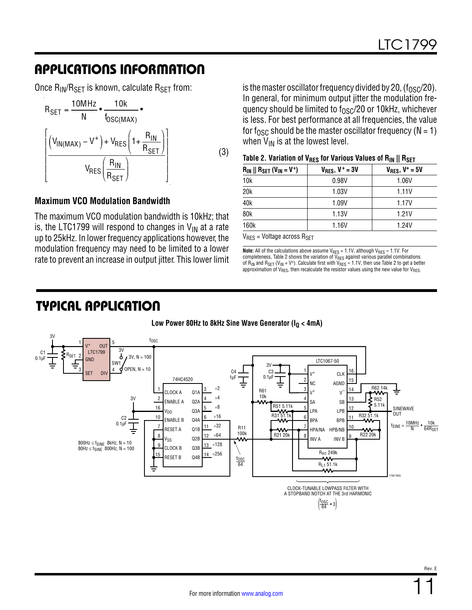Once  $R_{IN}/R_{SET}$  is known, calculate  $R_{SET}$  from:



#### **Maximum VCO Modulation Bandwidth**

The maximum VCO modulation bandwidth is 10kHz; that is, the LTC1799 will respond to changes in  $V_{IN}$  at a rate up to 25kHz. In lower frequency applications however, the modulation frequency may need to be limited to a lower rate to prevent an increase in output jitter. This lower limit

is the master oscillator frequency divided by 20,  $(f<sub>OSC</sub>/20)$ . In general, for minimum output jitter the modulation frequency should be limited to  $f_{OSC}/20$  or 10kHz, whichever is less. For best performance at all frequencies, the value for f<sub>OSC</sub> should be the master oscillator frequency ( $N = 1$ ) when  $V_{IN}$  is at the lowest level.

| Table 2. Variation of V <sub>RES</sub> for Various Values of $R_{IN} \parallel R_{SET}$ |  |  |  |  |
|-----------------------------------------------------------------------------------------|--|--|--|--|
|-----------------------------------------------------------------------------------------|--|--|--|--|

|                                                     |                        | <br>.                  |
|-----------------------------------------------------|------------------------|------------------------|
| $R_{IN}$    $R_{SET}$ ( $V_{IN}$ = V <sup>+</sup> ) | $V_{RES}$ , $V^+$ = 3V | $V_{RES}$ , $V^+ = 5V$ |
| 10k                                                 | 0.98V                  | 1.06V                  |
| 20k                                                 | 1.03V                  | 1.11V                  |
| 40 <sub>k</sub>                                     | 1.09V                  | 1.17V                  |
| 80 <sub>k</sub>                                     | 1.13V                  | 1.21V                  |
| 160k                                                | 1.16V                  | 1.24V                  |

 $V_{RES}$  = Voltage across  $R_{SET}$ 

**Note:** All of the calculations above assume V<sub>RES</sub> = 1.1V, although V<sub>RES</sub> ≈ 1.1V. For completeness, Table 2 shows the variation of  $\rm V_{RES}$  against various parallel combinations of  $R_{IN}$  and  $R_{SET}$  (V<sub>IN</sub> = V<sup>+</sup>). Calculate first with  $V_{RES} \approx 1.1V$ , then use Table 2 to get a better approximation of  $V_{RES}$ , then recalculate the resistor values using the new value for  $V_{RES}$ .

### TYPICAL APPLICATION

#### Low Power 80Hz to 8kHz Sine Wave Generator (I<sub>O</sub> < 4mA)

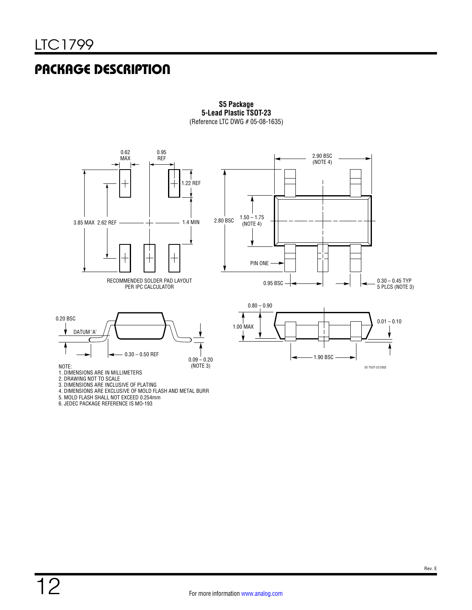# PACKAGE DESCRIPTION



**S5 Package 5-Lead Plastic TSOT-23** (Reference LTC DWG # 05-08-1635) **S5 Package**  $5.5$ **C** CITC DWG  $#00-00-1$ 

5. MOLD FLASH SHALL NOT EXCEED 0.254mm

6. JEDEC PACKAGE REFERENCE IS MO-193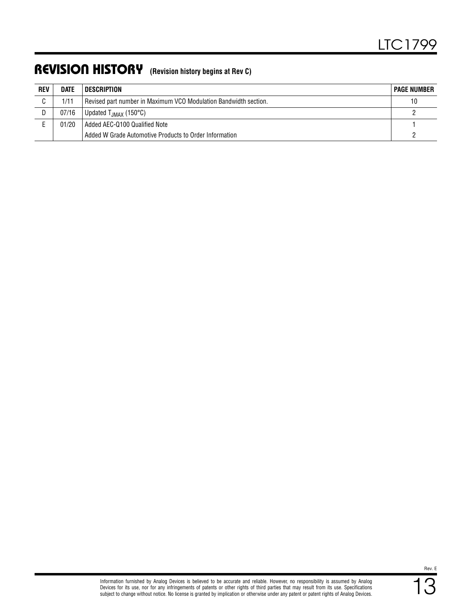### REVISION HISTORY **(Revision history begins at Rev C)**

| <b>REV</b> | <b>DATE</b> | <b>DESCRIPTION</b>                                               | <b>PAGE NUMBER</b> |
|------------|-------------|------------------------------------------------------------------|--------------------|
| C.         | 1/11        | Revised part number in Maximum VCO Modulation Bandwidth section. | 10                 |
| D.         | 07/16       | Updated $T_{JMAX}$ (150 $^{\circ}$ C)                            |                    |
|            | 01/20       | Added AEC-0100 Qualified Note                                    |                    |
|            |             | Added W Grade Automotive Products to Order Information           |                    |